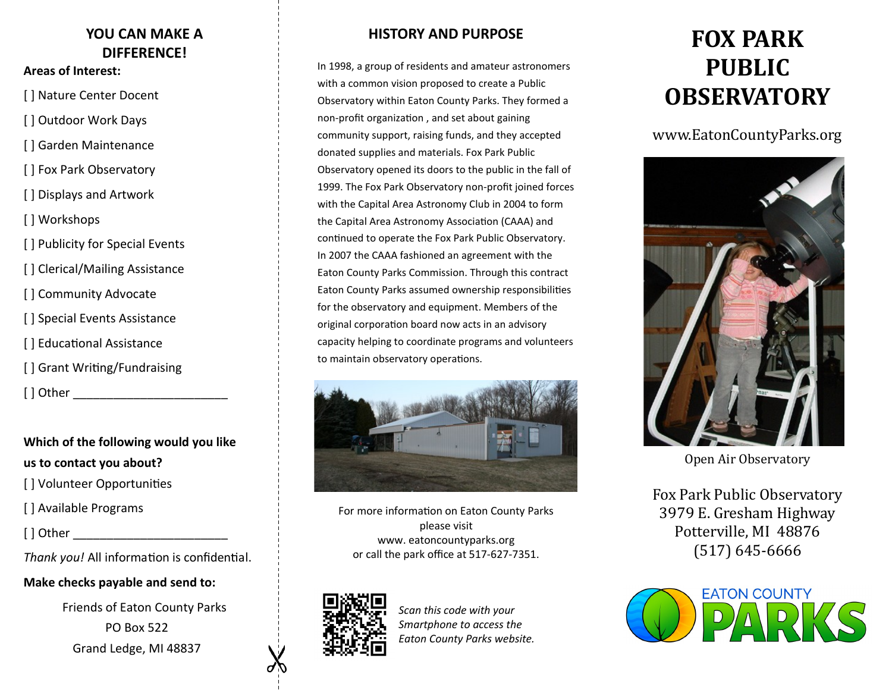## **YOU CAN MAKE A DIFFERENCE!**

#### **Areas of Interest:**

[ ] Nature Center Docent

- [] Outdoor Work Days
- [ ] Garden Maintenance
- [] Fox Park Observatory
- [ ] Displays and Artwork
- [] Workshops
- [] Publicity for Special Events
- [] Clerical/Mailing Assistance
- [] Community Advocate
- [] Special Events Assistance
- [] Educational Assistance
- [] Grant Writing/Fundraising
- $[$  ] Other  $[$

## **Which of the following would you like us to contact you about?**

[ ] Volunteer Opportunities

[ ] Available Programs

 $[$  ] Other  $[$ 

*Thank you!* All information is confidential.

**Make checks payable and send to:**

Friends of Eaton County Parks

PO Box 522

Grand Ledge, MI 48837

### **HISTORY AND PURPOSE**

In 1998, a group of residents and amateur astronomers with a common vision proposed to create a Public Observatory within Eaton County Parks. They formed a non-profit organization , and set about gaining community support, raising funds, and they accepted donated supplies and materials. Fox Park Public Observatory opened its doors to the public in the fall of 1999. The Fox Park Observatory non-profit joined forces with the Capital Area Astronomy Club in 2004 to form the Capital Area Astronomy Association (CAAA) and continued to operate the Fox Park Public Observatory. In 2007 the CAAA fashioned an agreement with the Eaton County Parks Commission. Through this contract Eaton County Parks assumed ownership responsibilities for the observatory and equipment. Members of the original corporation board now acts in an advisory capacity helping to coordinate programs and volunteers to maintain observatory operations.



For more information on Eaton County Parks please visit www. eatoncountyparks.org or call the park office at 517-627-7351.



*Scan this code with your Smartphone to access the Eaton County Parks website.*

# **FOX PARK PUBLIC OBSERVATORY**

## www.EatonCountyParks.org



Open Air Observatory

Fox Park Public Observatory 3979 E. Gresham Highway Potterville, MI 48876 (517) 645-6666